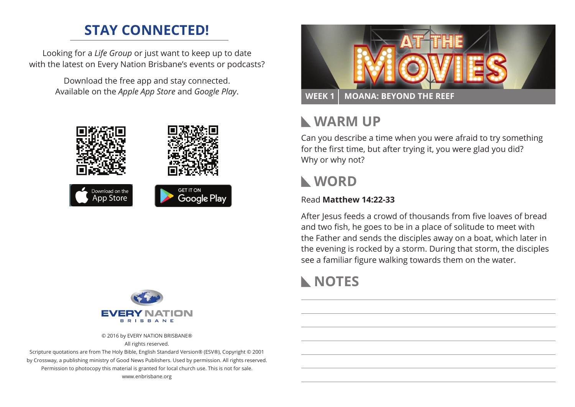# **STAY CONNECTED!**

Looking for a *Life Group* or just want to keep up to date with the latest on Every Nation Brisbane's events or podcasts?

> Download the free app and stay connected. Available on the *Apple App Store* and *Google Play*.





© 2016 by EVERY NATION BRISBANE® All rights reserved.

Scripture quotations are from The Holy Bible, English Standard Version® (ESV®), Copyright © 2001 by Crossway, a publishing ministry of Good News Publishers. Used by permission. All rights reserved. Permission to photocopy this material is granted for local church use. This is not for sale. www.enbrisbane.org



# **Warm Up**

Can you describe a time when you were afraid to try something for the first time, but after trying it, you were glad you did? Why or why not?

### **WORD**

#### Read **Matthew 14:22-33**

After Jesus feeds a crowd of thousands from five loaves of bread and two fish, he goes to be in a place of solitude to meet with the Father and sends the disciples away on a boat, which later in the evening is rocked by a storm. During that storm, the disciples see a familiar figure walking towards them on the water.

# **NOTES**